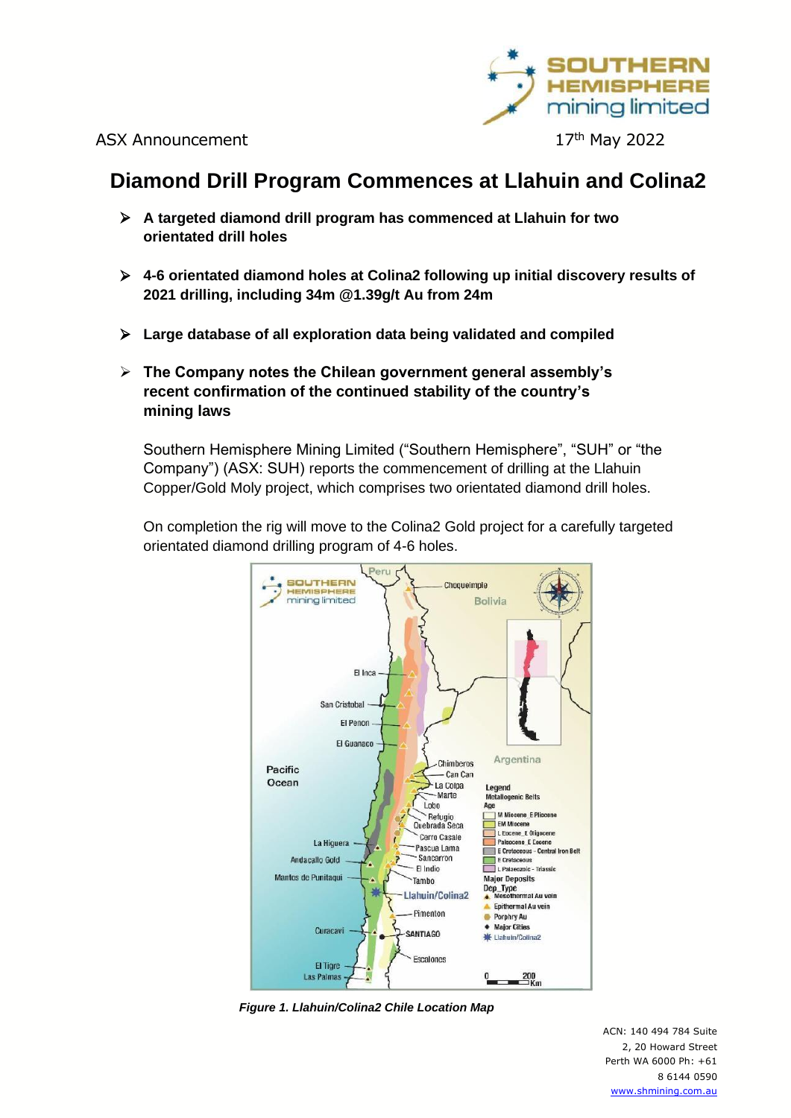

# **Diamond Drill Program Commences at Llahuin and Colina2**

- ➢ **A targeted diamond drill program has commenced at Llahuin for two orientated drill holes**
- ➢ **4-6 orientated diamond holes at Colina2 following up initial discovery results of 2021 drilling, including 34m @1.39g/t Au from 24m**
- ➢ **Large database of all exploration data being validated and compiled**
- ➢ **The Company notes the Chilean government general assembly's recent confirmation of the continued stability of the country's mining laws**

Southern Hemisphere Mining Limited ("Southern Hemisphere", "SUH" or "the Company") (ASX: SUH) reports the commencement of drilling at the Llahuin Copper/Gold Moly project, which comprises two orientated diamond drill holes.

On completion the rig will move to the Colina2 Gold project for a carefully targeted orientated diamond drilling program of 4-6 holes.



*Figure 1. Llahuin/Colina2 Chile Location Map*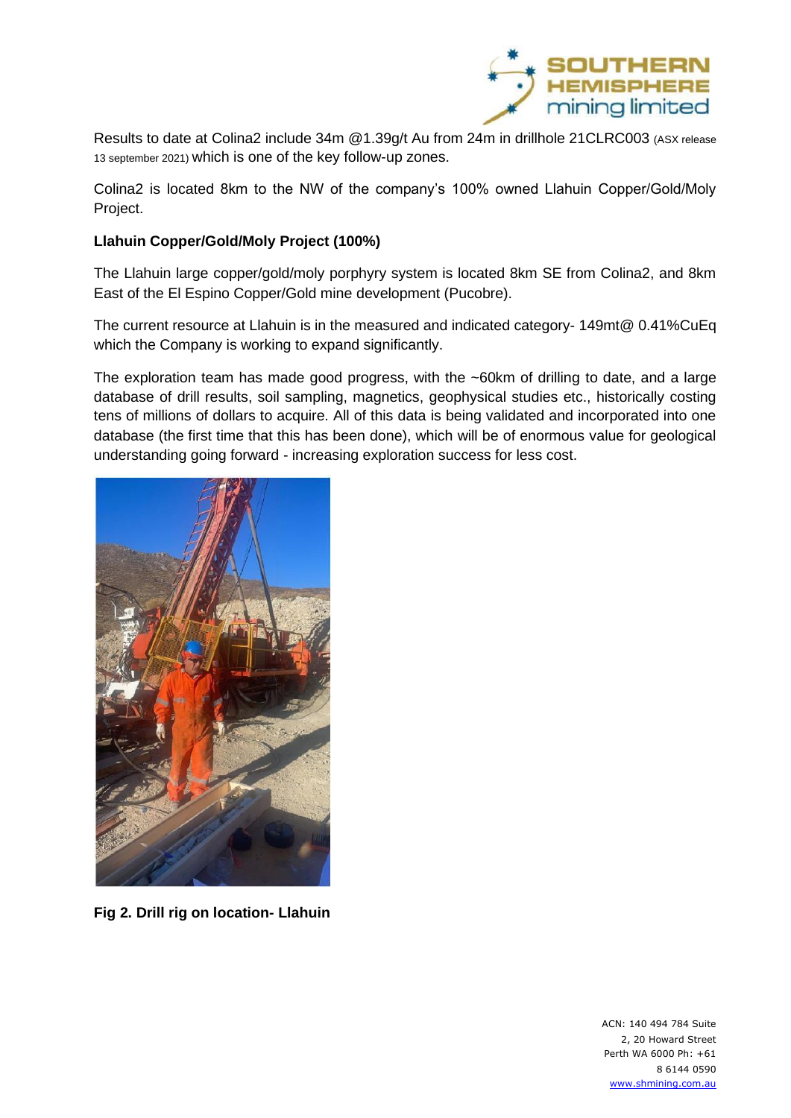

Results to date at Colina2 include 34m @1.39g/t Au from 24m in drillhole 21CLRC003 (ASX release 13 september 2021) which is one of the key follow-up zones.

Colina2 is located 8km to the NW of the company's 100% owned Llahuin Copper/Gold/Moly Project.

# **Llahuin Copper/Gold/Moly Project (100%)**

The Llahuin large copper/gold/moly porphyry system is located 8km SE from Colina2, and 8km East of the El Espino Copper/Gold mine development (Pucobre).

The current resource at Llahuin is in the measured and indicated category- 149mt@ 0.41%CuEq which the Company is working to expand significantly.

The exploration team has made good progress, with the ~60km of drilling to date, and a large database of drill results, soil sampling, magnetics, geophysical studies etc., historically costing tens of millions of dollars to acquire. All of this data is being validated and incorporated into one database (the first time that this has been done), which will be of enormous value for geological understanding going forward - increasing exploration success for less cost.



**Fig 2. Drill rig on location- Llahuin**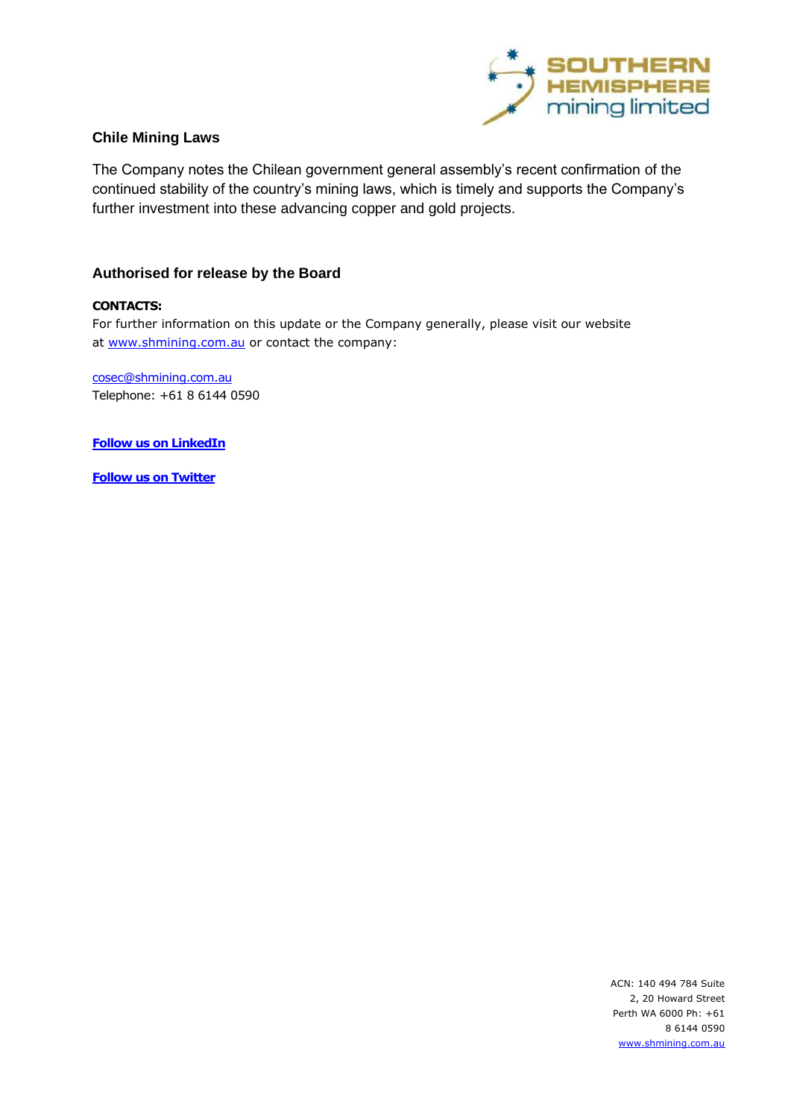

## **Chile Mining Laws**

The Company notes the Chilean government general assembly's recent confirmation of the continued stability of the country's mining laws, which is timely and supports the Company's further investment into these advancing copper and gold projects.

## **Authorised for release by the Board**

#### **CONTACTS:**

For further information on this update or the Company generally, please visit our website at [www.shmining.com.au](http://www.shmining.com.au/) or contact the company:

[cosec@shmining.com.au](mailto:cosec@shmining.com.au)  Telephone: +61 8 6144 0590

**Follow us on LinkedIn** 

**Follow us on Twitter**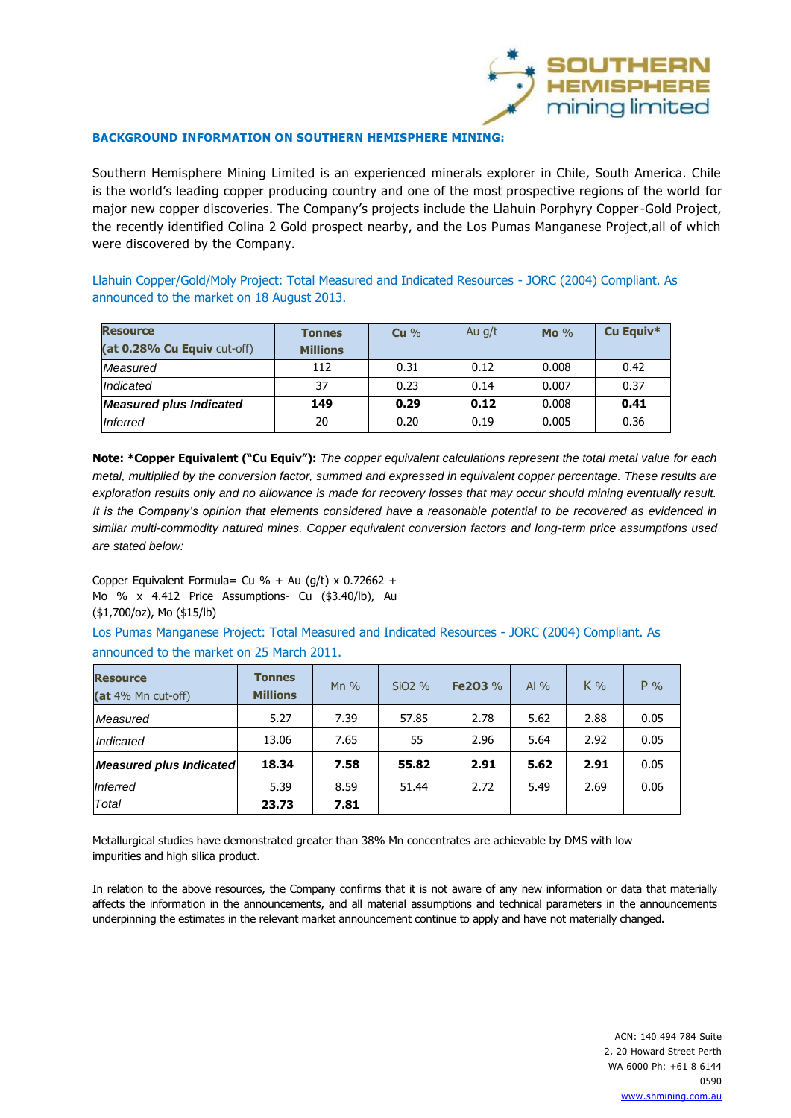

#### **BACKGROUND INFORMATION ON SOUTHERN HEMISPHERE MINING:**

Southern Hemisphere Mining Limited is an experienced minerals explorer in Chile, South America. Chile is the world's leading copper producing country and one of the most prospective regions of the world for major new copper discoveries. The Company's projects include the Llahuin Porphyry Copper-Gold Project, the recently identified Colina 2 Gold prospect nearby, and the Los Pumas Manganese Project,all of which were discovered by the Company.

Llahuin Copper/Gold/Moly Project: Total Measured and Indicated Resources - JORC (2004) Compliant. As announced to the market on 18 August 2013.

| <b>Resource</b><br>(at 0.28% Cu Equiv cut-off) | <b>Tonnes</b><br><b>Millions</b> | Cu % | Au g/t | Mo $\%$ | Cu Equiv* |
|------------------------------------------------|----------------------------------|------|--------|---------|-----------|
| Measured                                       | 112                              | 0.31 | 0.12   | 0.008   | 0.42      |
| Indicated                                      | 37                               | 0.23 | 0.14   | 0.007   | 0.37      |
| <b>Measured plus Indicated</b>                 | 149                              | 0.29 | 0.12   | 0.008   | 0.41      |
| Inferred                                       | 20                               | 0.20 | 0.19   | 0.005   | 0.36      |

**Note: \*Copper Equivalent ("Cu Equiv"):** *The copper equivalent calculations represent the total metal value for each metal, multiplied by the conversion factor, summed and expressed in equivalent copper percentage. These results are exploration results only and no allowance is made for recovery losses that may occur should mining eventually result. It is the Company's opinion that elements considered have a reasonable potential to be recovered as evidenced in similar multi-commodity natured mines. Copper equivalent conversion factors and long-term price assumptions used are stated below:*

Copper Equivalent Formula= Cu % + Au (g/t) x  $0.72662 +$ Mo % x 4.412 Price Assumptions- Cu (\$3.40/lb), Au (\$1,700/oz), Mo (\$15/lb)

Los Pumas Manganese Project: Total Measured and Indicated Resources - JORC (2004) Compliant. As announced to the market on 25 March 2011.

| <b>Resource</b><br>(at 4% Mn cut-off) | <b>Tonnes</b><br><b>Millions</b> | Mn $%$ | $SiO2\%$ | Fe203 % | Al $\%$ | $K\%$ | $P\%$ |
|---------------------------------------|----------------------------------|--------|----------|---------|---------|-------|-------|
| Measured                              | 5.27                             | 7.39   | 57.85    | 2.78    | 5.62    | 2.88  | 0.05  |
| Indicated                             | 13.06                            | 7.65   | 55       | 2.96    | 5.64    | 2.92  | 0.05  |
| <b>Measured plus Indicated</b>        | 18.34                            | 7.58   | 55.82    | 2.91    | 5.62    | 2.91  | 0.05  |
| Inferred                              | 5.39                             | 8.59   | 51.44    | 2.72    | 5.49    | 2.69  | 0.06  |
| Total                                 | 23.73                            | 7.81   |          |         |         |       |       |

Metallurgical studies have demonstrated greater than 38% Mn concentrates are achievable by DMS with low impurities and high silica product.

In relation to the above resources, the Company confirms that it is not aware of any new information or data that materially affects the information in the announcements, and all material assumptions and technical parameters in the announcements underpinning the estimates in the relevant market announcement continue to apply and have not materially changed.